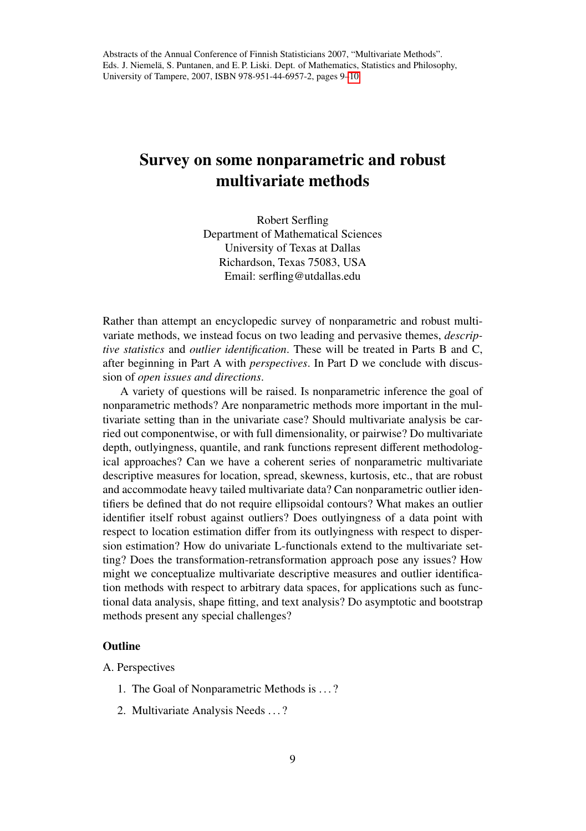## Survey on some nonparametric and robust multivariate methods

Robert Serfling Department of Mathematical Sciences University of Texas at Dallas Richardson, Texas 75083, USA Email: serfling@utdallas.edu

Rather than attempt an encyclopedic survey of nonparametric and robust multivariate methods, we instead focus on two leading and pervasive themes, *descriptive statistics* and *outlier identification*. These will be treated in Parts B and C, after beginning in Part A with *perspectives*. In Part D we conclude with discussion of *open issues and directions*.

A variety of questions will be raised. Is nonparametric inference the goal of nonparametric methods? Are nonparametric methods more important in the multivariate setting than in the univariate case? Should multivariate analysis be carried out componentwise, or with full dimensionality, or pairwise? Do multivariate depth, outlyingness, quantile, and rank functions represent different methodological approaches? Can we have a coherent series of nonparametric multivariate descriptive measures for location, spread, skewness, kurtosis, etc., that are robust and accommodate heavy tailed multivariate data? Can nonparametric outlier identifiers be defined that do not require ellipsoidal contours? What makes an outlier identifier itself robust against outliers? Does outlyingness of a data point with respect to location estimation differ from its outlyingness with respect to dispersion estimation? How do univariate L-functionals extend to the multivariate setting? Does the transformation-retransformation approach pose any issues? How might we conceptualize multivariate descriptive measures and outlier identification methods with respect to arbitrary data spaces, for applications such as functional data analysis, shape fitting, and text analysis? Do asymptotic and bootstrap methods present any special challenges?

## **Outline**

- A. Perspectives
	- 1. The Goal of Nonparametric Methods is . . . ?
	- 2. Multivariate Analysis Needs . . . ?